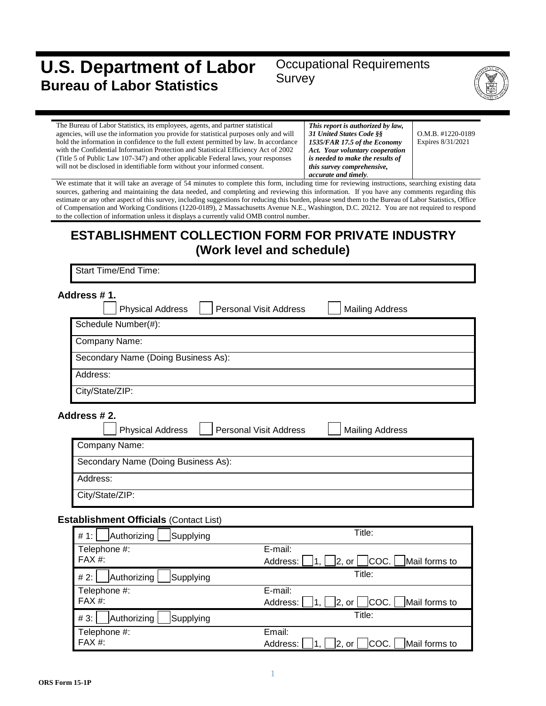# **U.S. Department of Labor Bureau of Labor Statistics**

# Occupational Requirements Survey



| The Bureau of Labor Statistics, its employees, agents, and partner statistical        | This report is authorized by law, |                     |
|---------------------------------------------------------------------------------------|-----------------------------------|---------------------|
| agencies, will use the information you provide for statistical purposes only and will | 31 United States Code §§          | $O.M.B.$ #1220-0189 |
| hold the information in confidence to the full extent permitted by law. In accordance | 1535/FAR 17.5 of the Economy      | Expires 8/31/2021   |
| with the Confidential Information Protection and Statistical Efficiency Act of 2002   | Act. Your voluntary cooperation   |                     |
| (Title 5 of Public Law 107-347) and other applicable Federal laws, your responses     | is needed to make the results of  |                     |
| will not be disclosed in identifiable form without your informed consent.             | this survey comprehensive,        |                     |
|                                                                                       | accurate and timely.              |                     |

We estimate that it will take an average of 54 minutes to complete this form, including time for reviewing instructions, searching existing data sources, gathering and maintaining the data needed, and completing and reviewing this information. If you have any comments regarding this estimate or any other aspect of this survey, including suggestions for reducing this burden, please send them to the Bureau of Labor Statistics, Office of Compensation and Working Conditions (1220-0189), 2 Massachusetts Avenue N.E., Washington, D.C. 20212. You are not required to respond to the collection of information unless it displays a currently valid OMB control number.

# **ESTABLISHMENT COLLECTION FORM FOR PRIVATE INDUSTRY (Work level and schedule)**

Start Time/End Time:

| Address #1. |                                                          |                                                   |  |
|-------------|----------------------------------------------------------|---------------------------------------------------|--|
|             | <b>Personal Visit Address</b><br><b>Physical Address</b> | <b>Mailing Address</b>                            |  |
|             | Schedule Number(#):                                      |                                                   |  |
|             | Company Name:                                            |                                                   |  |
|             | Secondary Name (Doing Business As):                      |                                                   |  |
|             | Address:                                                 |                                                   |  |
|             | City/State/ZIP:                                          |                                                   |  |
|             | Address # 2.                                             |                                                   |  |
|             | <b>Personal Visit Address</b><br><b>Physical Address</b> | <b>Mailing Address</b>                            |  |
|             | Company Name:                                            |                                                   |  |
|             | Secondary Name (Doing Business As):                      |                                                   |  |
|             | Address:                                                 |                                                   |  |
|             | City/State/ZIP:                                          |                                                   |  |
|             | <b>Establishment Officials (Contact List)</b>            |                                                   |  |
|             | Authorizing<br>Supplying<br># 1:                         | Title:                                            |  |
|             | E-mail:<br>Telephone #:<br>FAX #:<br>Address:            | COC.<br> 2, or <br>Mail forms to<br>$ 1, \rangle$ |  |
|             | Authorizing<br>Supplying<br># 2:                         | Title:                                            |  |
|             | E-mail:<br>Telephone #:                                  |                                                   |  |

| Telephone #:                   | E-mail:                                                         |
|--------------------------------|-----------------------------------------------------------------|
| FAX #:                         | $ 2, or $ $ COC. $ Mail forms to<br>$\vert 1 \vert$<br>Address: |
| $\# 3$ : Authorizing Supplying | Title:                                                          |
| Telephone #:                   | Email:                                                          |
| FAX #:                         | Address: $\Box$ 1, $\Box$ 2, or $\Box$ COC. Mail forms to       |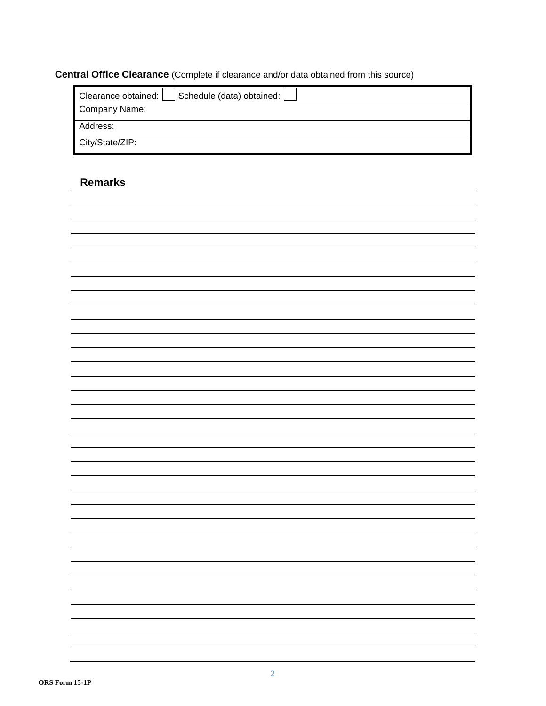### **Central Office Clearance** (Complete if clearance and/or data obtained from this source)

| Schedule (data) obtained:  <br>Clearance obtained: |
|----------------------------------------------------|
| Company Name:                                      |
| Address:                                           |
| City/State/ZIP:                                    |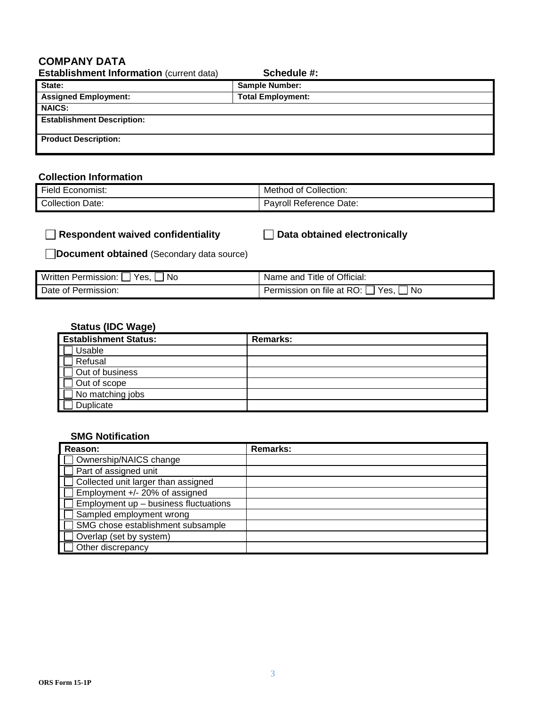## **COMPANY DATA**

| <b>Establishment Information (current data)</b> | Schedule #:              |  |
|-------------------------------------------------|--------------------------|--|
| State:                                          | <b>Sample Number:</b>    |  |
| <b>Assigned Employment:</b>                     | <b>Total Employment:</b> |  |
| <b>NAICS:</b>                                   |                          |  |
| <b>Establishment Description:</b>               |                          |  |
| <b>Product Description:</b>                     |                          |  |

#### **Collection Information**

| $-$                 | Collection:             |
|---------------------|-------------------------|
| ⊢ield               | Method                  |
| Economist:          | ⊿ of ′                  |
| Collection<br>Date: | Pavroll Reference Date: |

### **Respondent waived confidentiality Data obtained electronically**

**Document obtained** (Secondary data source)

| Written Permission:  <br>Yes.<br>Nο | Name and Title of Official:                       |
|-------------------------------------|---------------------------------------------------|
| Date of Permission:                 | Permission on file at RO: $\Box$<br>'Yes.」<br>No. |

### **Status (IDC Wage)**

| <b>Establishment Status:</b> | <b>Remarks:</b> |
|------------------------------|-----------------|
| Usable                       |                 |
| Refusal                      |                 |
| Out of business              |                 |
| Out of scope                 |                 |
| No matching jobs             |                 |
| Duplicate                    |                 |

#### **SMG Notification**

| Reason:                               | <b>Remarks:</b> |
|---------------------------------------|-----------------|
| Ownership/NAICS change                |                 |
| Part of assigned unit                 |                 |
| Collected unit larger than assigned   |                 |
| Employment +/- 20% of assigned        |                 |
| Employment up - business fluctuations |                 |
| Sampled employment wrong              |                 |
| SMG chose establishment subsample     |                 |
| Overlap (set by system)               |                 |
| Other discrepancy                     |                 |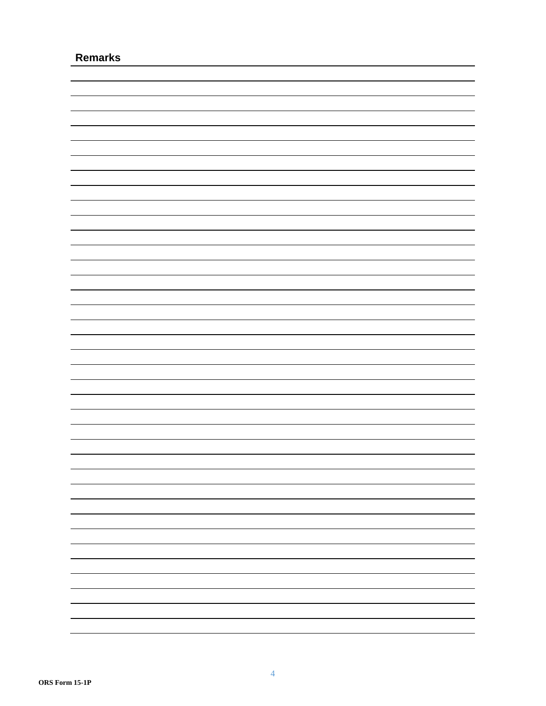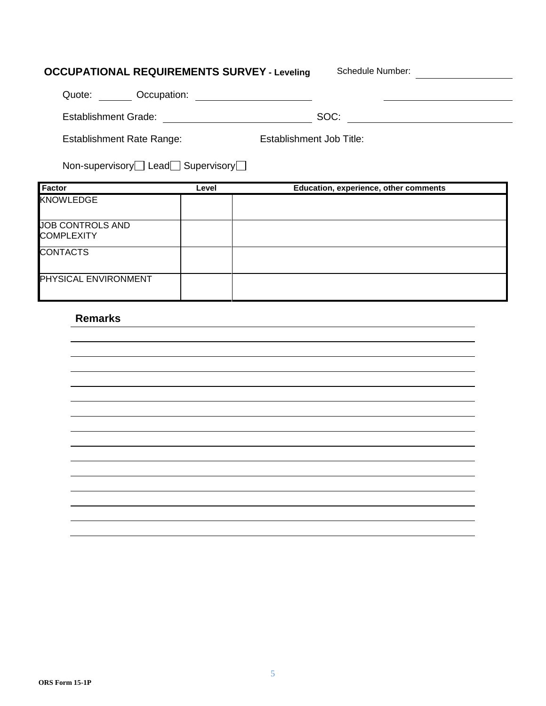# **OCCUPATIONAL REQUIREMENTS SURVEY - Leveling Schedule Number:**

| Occupation:<br>Quote:            |                          |  |
|----------------------------------|--------------------------|--|
| <b>Establishment Grade:</b>      | SOC:                     |  |
| <b>Establishment Rate Range:</b> | Establishment Job Title: |  |

| Non-supervisory□ Lead□ Supervisory□ |  |  |
|-------------------------------------|--|--|
|-------------------------------------|--|--|

| <b>Factor</b>                         | Level | Education, experience, other comments |
|---------------------------------------|-------|---------------------------------------|
| <b>KNOWLEDGE</b>                      |       |                                       |
| JOB CONTROLS AND<br><b>COMPLEXITY</b> |       |                                       |
| <b>CONTACTS</b>                       |       |                                       |
| <b>PHYSICAL ENVIRONMENT</b>           |       |                                       |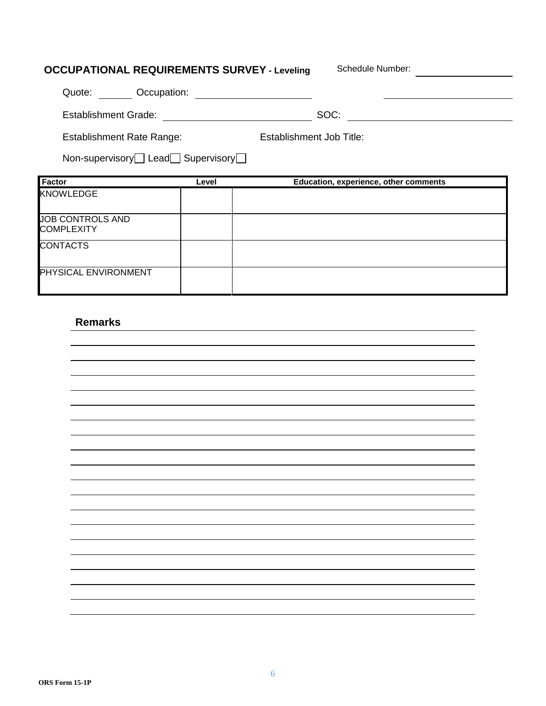# **OCCUPATIONAL REQUIREMENTS SURVEY - Leveling Schedule Number:** Quote: Occupation: <u> 1980 - Johann Barbara, martin a</u> Establishment Grade: SOC:

Establishment Rate Range: Establishment Job Title:

Non-supervisory Lead Supervisory

| <b>Factor</b>                                | Level | Education, experience, other comments |
|----------------------------------------------|-------|---------------------------------------|
| <b>KNOWLEDGE</b>                             |       |                                       |
| <b>JOB CONTROLS AND</b><br><b>COMPLEXITY</b> |       |                                       |
| <b>CONTACTS</b>                              |       |                                       |
| <b>PHYSICAL ENVIRONMENT</b>                  |       |                                       |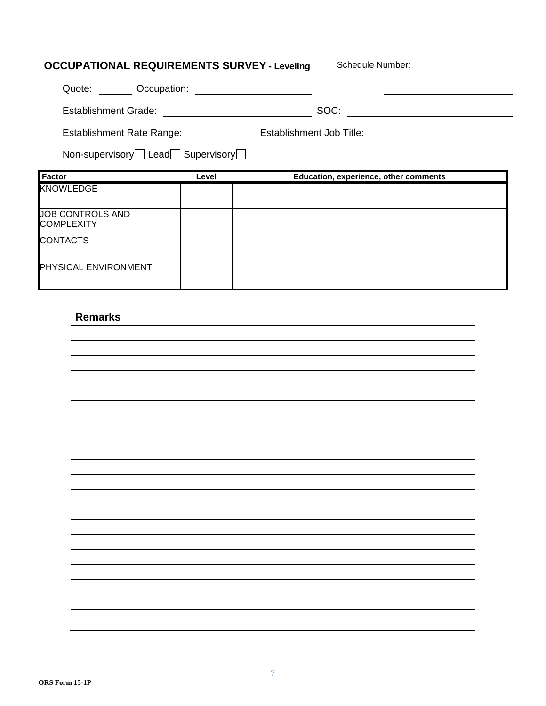| <b>OCCUPATIONAL REQUIREMENTS SURVEY - Leveling</b> |                                                     |                          | Schedule Number:                      |  |
|----------------------------------------------------|-----------------------------------------------------|--------------------------|---------------------------------------|--|
| Quote: Occupation:                                 |                                                     |                          |                                       |  |
| <b>Establishment Grade:</b>                        | <u> 1980 - Jan Barat, prima al II-lea (b. 1980)</u> | SOC:                     |                                       |  |
| <b>Establishment Rate Range:</b>                   |                                                     | Establishment Job Title: |                                       |  |
| Non-supervisory Lead Supervisory                   |                                                     |                          |                                       |  |
|                                                    |                                                     |                          |                                       |  |
| <b>Factor</b>                                      | Level                                               |                          | Education, experience, other comments |  |
| <b>KNOWLEDGE</b>                                   |                                                     |                          |                                       |  |
| JOB CONTROLS AND<br><b>COMPLEXITY</b>              |                                                     |                          |                                       |  |
| <b>CONTACTS</b>                                    |                                                     |                          |                                       |  |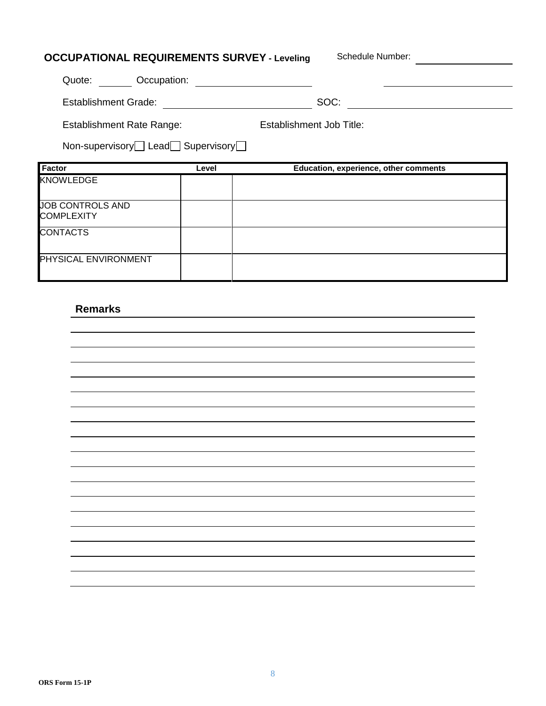| <b>OCCUPATIONAL REQUIREMENTS SURVEY - Leveling</b>                |       |                          | Schedule Number:                      |  |
|-------------------------------------------------------------------|-------|--------------------------|---------------------------------------|--|
| Quote: Occupation:                                                |       |                          |                                       |  |
| Establishment Grade: <b>Called Access Contract Contract Crack</b> |       | SOC:                     |                                       |  |
| Establishment Rate Range:                                         |       | Establishment Job Title: |                                       |  |
| Non-supervisory Lead Supervisory                                  |       |                          |                                       |  |
|                                                                   |       |                          |                                       |  |
| <b>Factor</b>                                                     | Level |                          | Education, experience, other comments |  |
| <b>KNOWLEDGE</b>                                                  |       |                          |                                       |  |
| <b>JOB CONTROLS AND</b><br><b>COMPLEXITY</b>                      |       |                          |                                       |  |
| <b>CONTACTS</b>                                                   |       |                          |                                       |  |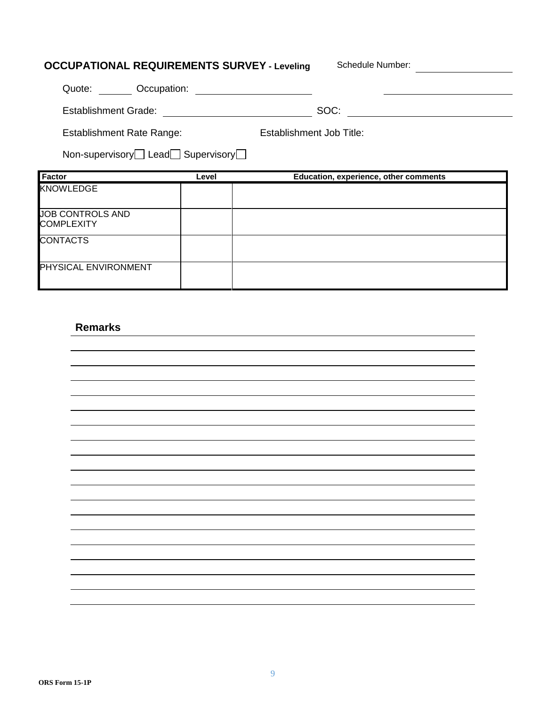| <b>OCCUPATIONAL REQUIREMENTS SURVEY - Leveling</b> |       | Schedule Number:                      |
|----------------------------------------------------|-------|---------------------------------------|
| Quote: Occupation:                                 |       |                                       |
| <b>Establishment Grade:</b>                        |       | SOC:                                  |
| <b>Establishment Rate Range:</b>                   |       | Establishment Job Title:              |
| Non-supervisory Lead Supervisory                   |       |                                       |
| Factor                                             | Level | Education, experience, other comments |
| <b>KNOWLEDGE</b>                                   |       |                                       |
| <b>JOB CONTROLS AND</b>                            |       |                                       |
| <b>COMPLEXITY</b>                                  |       |                                       |
| <b>CONTACTS</b>                                    |       |                                       |
| PHYSICAL ENVIRONMENT                               |       |                                       |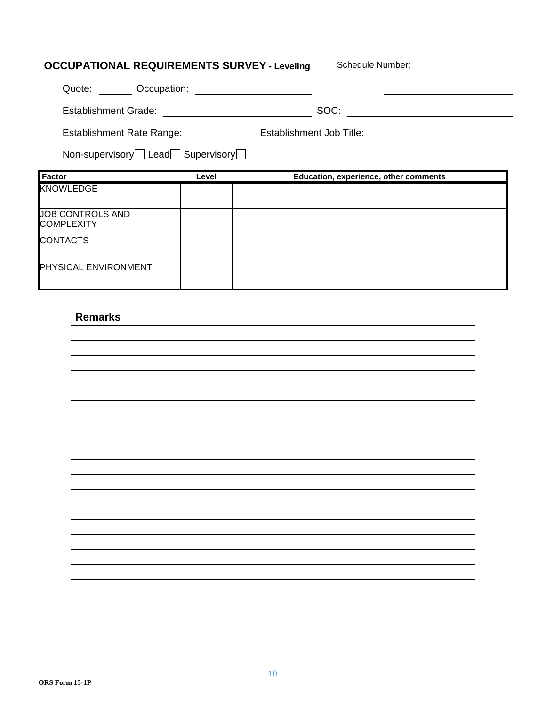| <b>OCCUPATIONAL REQUIREMENTS SURVEY - Leveling</b> |       | Schedule Number:                      |  |
|----------------------------------------------------|-------|---------------------------------------|--|
| Quote: Occupation:                                 |       |                                       |  |
| <b>Establishment Grade:</b>                        |       | SOC:                                  |  |
| <b>Establishment Rate Range:</b>                   |       | Establishment Job Title:              |  |
| Non-supervisory Lead Supervisory                   |       |                                       |  |
|                                                    |       |                                       |  |
| <b>Factor</b>                                      | Level | Education, experience, other comments |  |
| <b>KNOWLEDGE</b>                                   |       |                                       |  |
| <b>JOB CONTROLS AND</b><br><b>COMPLEXITY</b>       |       |                                       |  |
| <b>CONTACTS</b>                                    |       |                                       |  |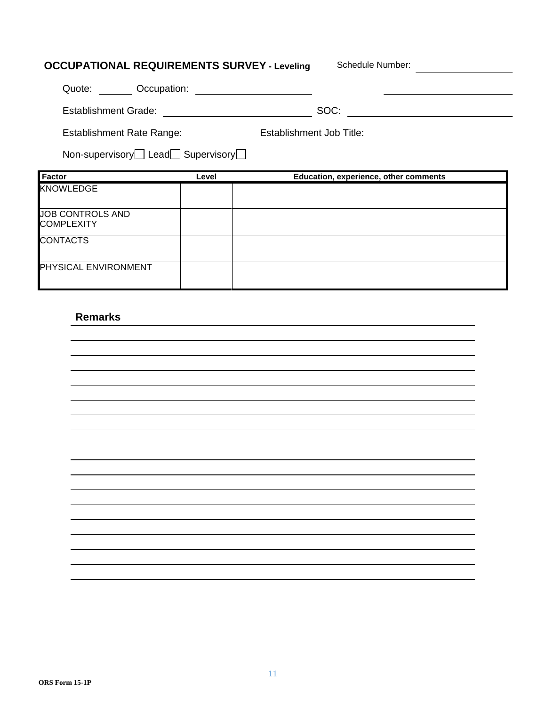| <b>OCCUPATIONAL REQUIREMENTS SURVEY - Leveling</b> |       | Schedule Number:                      |
|----------------------------------------------------|-------|---------------------------------------|
| <b>Condition</b> :<br>Quote:                       |       |                                       |
| <b>Establishment Grade:</b>                        |       | SOC:                                  |
| <b>Establishment Rate Range:</b>                   |       | Establishment Job Title:              |
| Non-supervisory Lead Supervisory                   |       |                                       |
|                                                    |       |                                       |
| Factor                                             | Level | Education, experience, other comments |
| <b>KNOWLEDGE</b>                                   |       |                                       |
| <b>JOB CONTROLS AND</b><br><b>COMPLEXITY</b>       |       |                                       |
| <b>CONTACTS</b>                                    |       |                                       |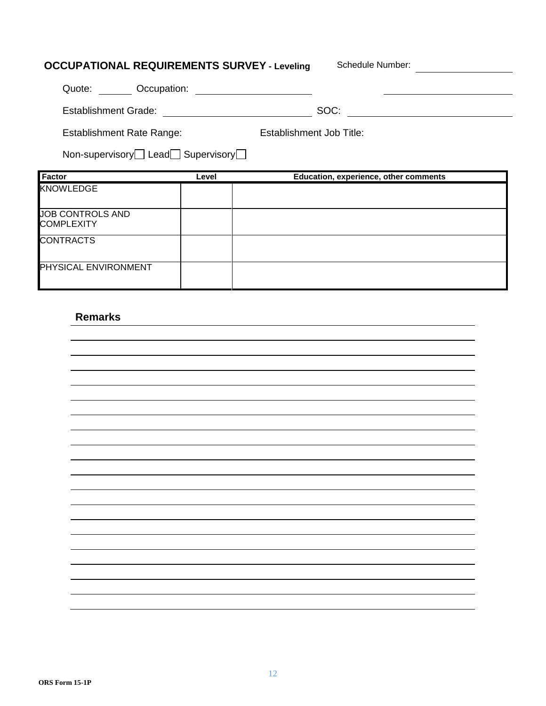| <b>OCCUPATIONAL REQUIREMENTS SURVEY - Leveling</b> |       | Schedule Number:                      |  |
|----------------------------------------------------|-------|---------------------------------------|--|
| Quote: <b>Occupation:</b>                          |       |                                       |  |
| Establishment Grade:                               |       | SOC:                                  |  |
| <b>Establishment Rate Range:</b>                   |       | Establishment Job Title:              |  |
| Non-supervisory□ Lead□ Supervisory□                |       |                                       |  |
|                                                    |       |                                       |  |
| Factor                                             | Level | Education, experience, other comments |  |
| <b>KNOWLEDGE</b>                                   |       |                                       |  |
| <b>JOB CONTROLS AND</b><br><b>COMPLEXITY</b>       |       |                                       |  |
| <b>CONTRACTS</b>                                   |       |                                       |  |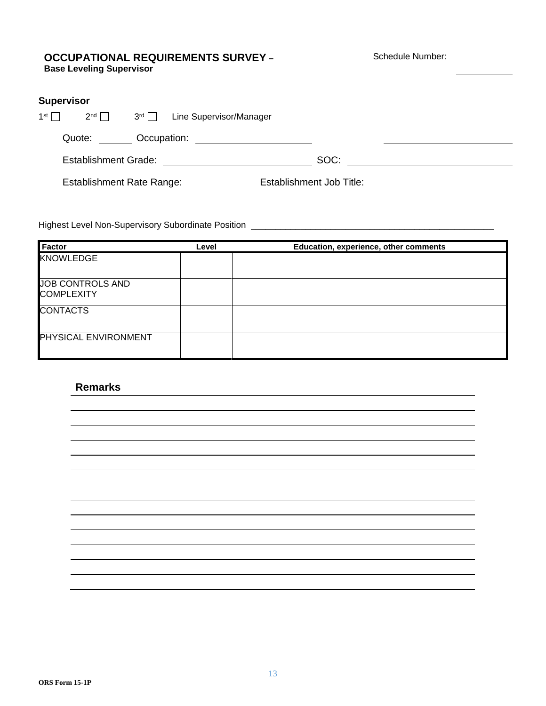#### **OCCUPATIONAL REQUIREMENTS SURVEY – Base Leveling Supervisor**

Schedule Number:

| <b>Supervisor</b> |                                  |               |                         |                          |  |
|-------------------|----------------------------------|---------------|-------------------------|--------------------------|--|
| 1 <sup>st</sup>   | $2^{nd}$                         | $3^{rd} \Box$ | Line Supervisor/Manager |                          |  |
|                   | Quote:                           | Occupation:   |                         |                          |  |
|                   | <b>Establishment Grade:</b>      |               |                         | SOC:                     |  |
|                   | <b>Establishment Rate Range:</b> |               |                         | Establishment Job Title: |  |

Highest Level Non-Supervisory Subordinate Position \_\_\_\_\_\_\_\_\_\_\_\_\_\_\_\_\_\_\_\_\_\_\_\_\_\_\_\_\_\_\_\_\_\_\_\_\_\_\_\_\_\_\_\_\_\_\_\_\_

| Factor                                       | Level | Education, experience, other comments |
|----------------------------------------------|-------|---------------------------------------|
| <b>KNOWLEDGE</b>                             |       |                                       |
| <b>JOB CONTROLS AND</b><br><b>COMPLEXITY</b> |       |                                       |
| <b>CONTACTS</b>                              |       |                                       |
| PHYSICAL ENVIRONMENT                         |       |                                       |

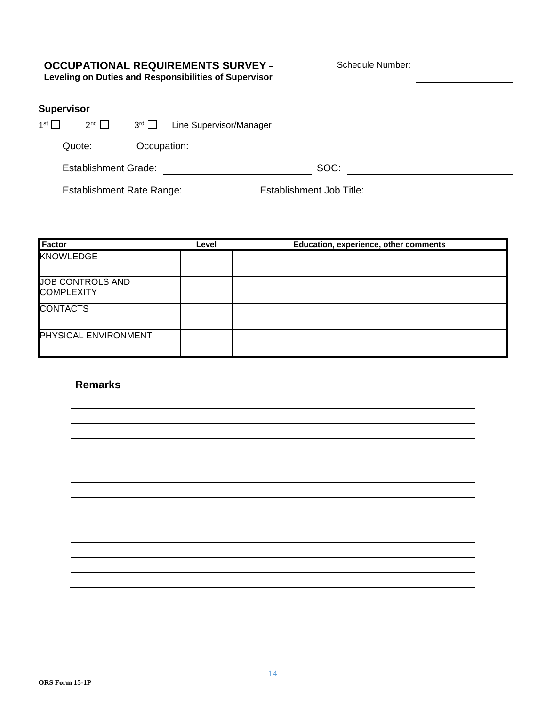# **OCCUPATIONAL REQUIREMENTS SURVEY –**

Schedule Number:

**Leveling on Duties and Responsibilities of Supervisor**

## **Supervisor**

| 1st $\Gamma$ | $2^{nd}$                    | $3^{rd}$    | Line Supervisor/Manager |      |  |
|--------------|-----------------------------|-------------|-------------------------|------|--|
|              | Quote:                      | Occupation: |                         |      |  |
|              | <b>Establishment Grade:</b> |             |                         | SOC: |  |

Establishment Rate Range: Establishment Job Title:

| <b>Factor</b>                                | Level | Education, experience, other comments |
|----------------------------------------------|-------|---------------------------------------|
| <b>KNOWLEDGE</b>                             |       |                                       |
| <b>JOB CONTROLS AND</b><br><b>COMPLEXITY</b> |       |                                       |
| <b>CONTACTS</b>                              |       |                                       |
| <b>PHYSICAL ENVIRONMENT</b>                  |       |                                       |

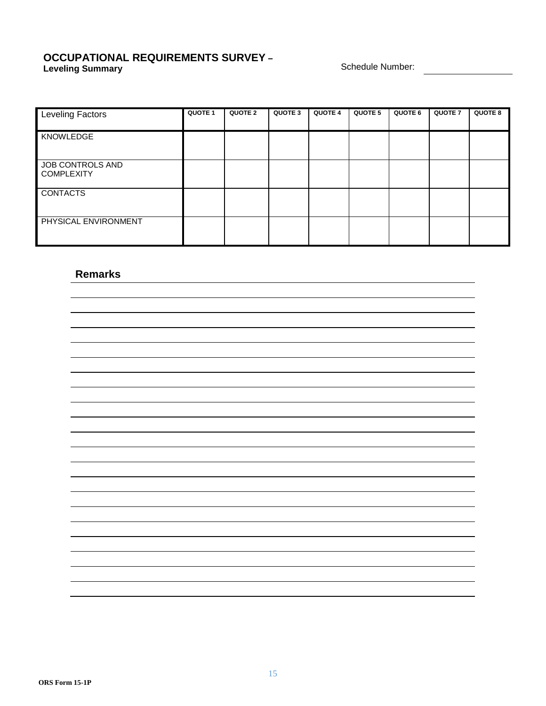#### **OCCUPATIONAL REQUIREMENTS SURVEY – Leveling Summary Schedule Number: Constant Constant Constant Constant Constant Constant Constant Constant Constant Constant Constant Constant Constant Constant Constant Constant Constant Constant Constant Constant Con**

| <b>Leveling Factors</b>               | <b>QUOTE 1</b> | QUOTE 2 | QUOTE 3 | <b>QUOTE 4</b> | QUOTE 5 | QUOTE 6 | <b>QUOTE 7</b> | <b>QUOTE 8</b> |
|---------------------------------------|----------------|---------|---------|----------------|---------|---------|----------------|----------------|
| <b>KNOWLEDGE</b>                      |                |         |         |                |         |         |                |                |
| JOB CONTROLS AND<br><b>COMPLEXITY</b> |                |         |         |                |         |         |                |                |
| <b>CONTACTS</b>                       |                |         |         |                |         |         |                |                |
| PHYSICAL ENVIRONMENT                  |                |         |         |                |         |         |                |                |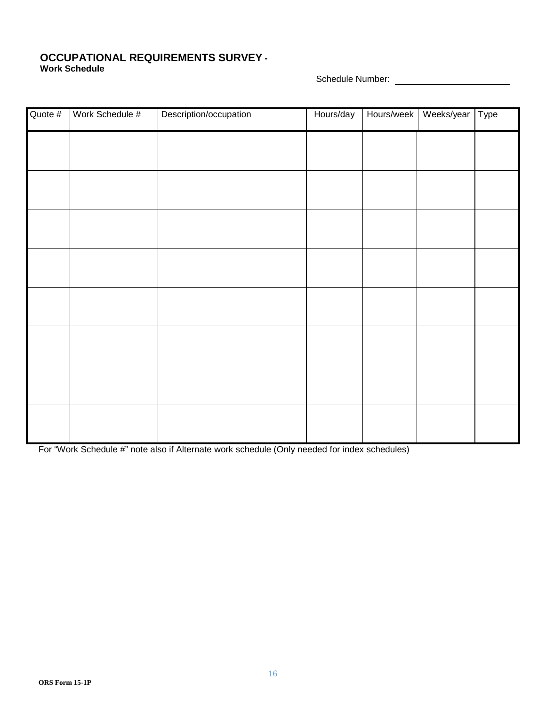#### **OCCUPATIONAL REQUIREMENTS SURVEY - Work Schedule**

Schedule Number:

| Quote # | Work Schedule # | Description/occupation | Hours/day | Hours/week | Weeks/year Type |  |
|---------|-----------------|------------------------|-----------|------------|-----------------|--|
|         |                 |                        |           |            |                 |  |
|         |                 |                        |           |            |                 |  |
|         |                 |                        |           |            |                 |  |
|         |                 |                        |           |            |                 |  |
|         |                 |                        |           |            |                 |  |
|         |                 |                        |           |            |                 |  |
|         |                 |                        |           |            |                 |  |
|         |                 |                        |           |            |                 |  |
|         |                 |                        |           |            |                 |  |
|         |                 |                        |           |            |                 |  |

For "Work Schedule #" note also if Alternate work schedule (Only needed for index schedules)